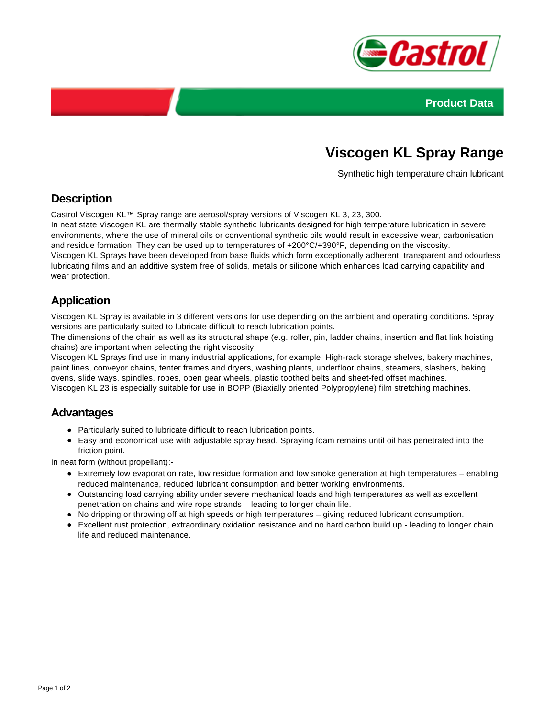



# **Viscogen KL Spray Range**

Synthetic high temperature chain lubricant

## **Description**

Castrol Viscogen KL™ Spray range are aerosol/spray versions of Viscogen KL 3, 23, 300.

In neat state Viscogen KL are thermally stable synthetic lubricants designed for high temperature lubrication in severe environments, where the use of mineral oils or conventional synthetic oils would result in excessive wear, carbonisation and residue formation. They can be used up to temperatures of +200°C/+390°F, depending on the viscosity. Viscogen KL Sprays have been developed from base fluids which form exceptionally adherent, transparent and odourless

lubricating films and an additive system free of solids, metals or silicone which enhances load carrying capability and wear protection.

#### **Application**

Viscogen KL Spray is available in 3 different versions for use depending on the ambient and operating conditions. Spray versions are particularly suited to lubricate difficult to reach lubrication points.

The dimensions of the chain as well as its structural shape (e.g. roller, pin, ladder chains, insertion and flat link hoisting chains) are important when selecting the right viscosity.

Viscogen KL Sprays find use in many industrial applications, for example: High-rack storage shelves, bakery machines, paint lines, conveyor chains, tenter frames and dryers, washing plants, underfloor chains, steamers, slashers, baking ovens, slide ways, spindles, ropes, open gear wheels, plastic toothed belts and sheet-fed offset machines. Viscogen KL 23 is especially suitable for use in BOPP (Biaxially oriented Polypropylene) film stretching machines.

#### **Advantages**

- Particularly suited to lubricate difficult to reach lubrication points.
- Easy and economical use with adjustable spray head. Spraying foam remains until oil has penetrated into the friction point.

In neat form (without propellant):-

- Extremely low evaporation rate, low residue formation and low smoke generation at high temperatures enabling reduced maintenance, reduced lubricant consumption and better working environments.
- Outstanding load carrying ability under severe mechanical loads and high temperatures as well as excellent penetration on chains and wire rope strands – leading to longer chain life.
- No dripping or throwing off at high speeds or high temperatures giving reduced lubricant consumption.
- Excellent rust protection, extraordinary oxidation resistance and no hard carbon build up leading to longer chain life and reduced maintenance.